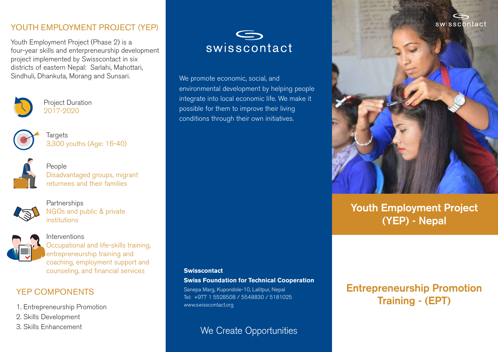swisscontact

### YOUTH EMPLOYMENT PROJECT (YEP)

Youth Employment Project (Phase 2) is a four-year skills and enterpreneurship development project implemented by Swisscontact in six districts of eastern Nepal: Sarlahi, Mahottari, Sindhuli, Dhankuta, Morang and Sunsari.



Project Duration 2017-2020



**Targets** 3,300 youths (Age: 16-40)



People Disadvantaged groups, migrant returnees and their families



**Partnerships** NGOs and public & private institutions



Interventions Occupational and life-skills training, entrepreneurship training and coaching, employment support and counseling, and financial services

### YEP COMPONENTS

1. Entrepreneurship Promotion

- 2. Skills Development
- 3. Skills Enhancement



We promote economic, social, and environmental development by helping people integrate into local economic life. We make it possible for them to improve their living conditions through their own initiatives.

#### **Swisscontact**

**Swiss Foundation for Technical Cooperation**

Sanepa Marg, Kupondole-10, Lalitpur, Nepal Tel: +977 1 5528508 / 5548830 / 5181025 www.swisscontact.org

We Create Opportunities

# **Entrepreneurship Promotion Training - (EPT)**

**Youth Employment Project**

**(YEP) - Nepal**